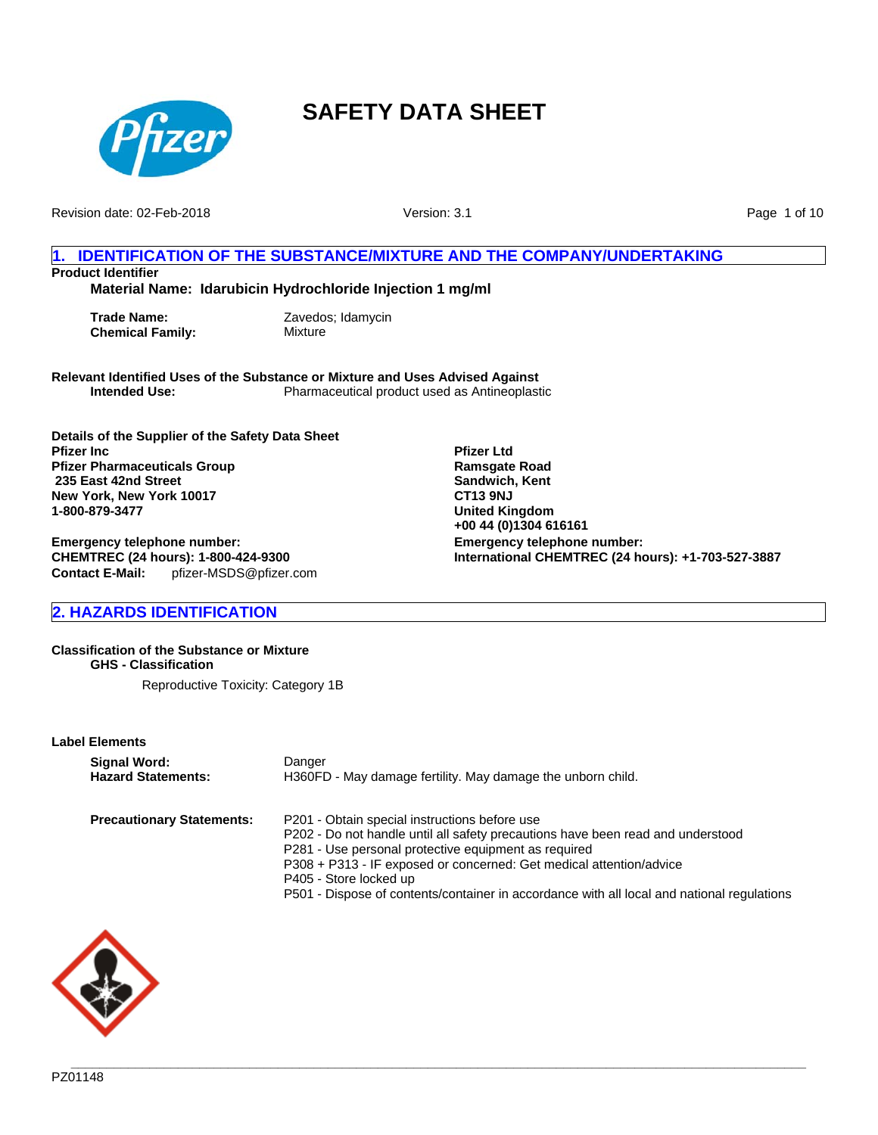

Revision date: 02-Feb-2018

Version: 3.1

Page 1 of 10

### **1. IDENTIFICATION OF THE SUBSTANCE/MIXTURE AND THE COMPANY/UNDERTAKING Product Identifier**

**Material Name: Idarubicin Hydrochloride Injection 1 mg/ml**

**Trade Name:** Zavedos; Idamycin **Chemical Family:** Mixture

**Relevant Identified Uses of the Substance or Mixture and Uses Advised Against Intended Use:** Pharmaceutical product used as Antineoplastic

**Details of the Supplier of the Safety Data Sheet Pfizer Inc Pfizer Pharmaceuticals Group 235 East 42nd Street New York, New York 10017 1-800-879-3477**

**Emergency telephone number: CHEMTREC (24 hours): 1-800-424-9300 Contact E-Mail:** pfizer-MSDS@pfizer.com **Pfizer Ltd Ramsgate Road Sandwich, Kent CT13 9NJ United Kingdom +00 44 (0)1304 616161 Emergency telephone number: International CHEMTREC (24 hours): +1-703-527-3887**

## **2. HAZARDS IDENTIFICATION**

**Classification of the Substance or Mixture GHS - Classification**

Reproductive Toxicity: Category 1B

**Label Elements**

| Signal Word:                     | Danger                                                                                                                                                                                                                                                                                    |
|----------------------------------|-------------------------------------------------------------------------------------------------------------------------------------------------------------------------------------------------------------------------------------------------------------------------------------------|
| <b>Hazard Statements:</b>        | H360FD - May damage fertility. May damage the unborn child.                                                                                                                                                                                                                               |
| <b>Precautionary Statements:</b> | P201 - Obtain special instructions before use<br>P202 - Do not handle until all safety precautions have been read and understood<br>P281 - Use personal protective equipment as required<br>P308 + P313 - IF exposed or concerned: Get medical attention/advice<br>P405 - Store locked up |

P501 - Dispose of contents/container in accordance with all local and national regulations

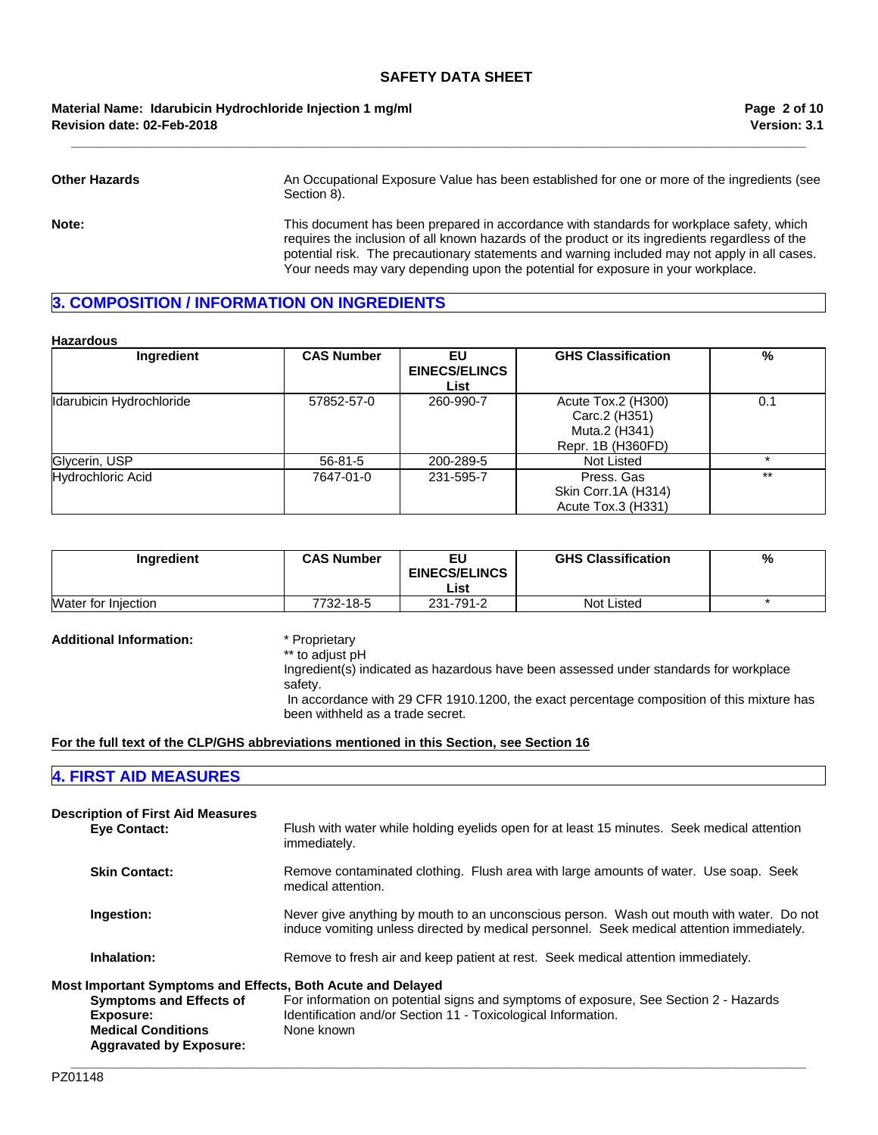**Revision date: 02-Feb-2018 Material Name: Idarubicin Hydrochloride Injection 1 mg/ml**

**Other Hazards** An Occupational Exposure Value has been established for one or more of the ingredients (see Section 8). **Note:** This document has been prepared in accordance with standards for workplace safety, which requires the inclusion of all known hazards of the product or its ingredients regardless of the potential risk. The precautionary statements and warning included may not apply in all cases.

Your needs may vary depending upon the potential for exposure in your workplace.

**\_\_\_\_\_\_\_\_\_\_\_\_\_\_\_\_\_\_\_\_\_\_\_\_\_\_\_\_\_\_\_\_\_\_\_\_\_\_\_\_\_\_\_\_\_\_\_\_\_\_\_\_\_\_\_\_\_\_\_\_\_\_\_\_\_\_\_\_\_\_\_\_\_\_\_\_\_\_\_\_\_\_\_\_\_\_\_\_\_\_\_\_\_\_\_\_\_\_\_\_\_\_\_**

## **3. COMPOSITION / INFORMATION ON INGREDIENTS**

#### **Hazardous**

| Ingredient               | <b>CAS Number</b> | EU<br><b>EINECS/ELINCS</b><br>List | <b>GHS Classification</b>                                                 | %     |
|--------------------------|-------------------|------------------------------------|---------------------------------------------------------------------------|-------|
| Idarubicin Hydrochloride | 57852-57-0        | 260-990-7                          | Acute Tox.2 (H300)<br>Carc.2 (H351)<br>Muta.2 (H341)<br>Repr. 1B (H360FD) | 0.1   |
| Glycerin, USP            | $56 - 81 - 5$     | 200-289-5                          | Not Listed                                                                |       |
| <b>Hydrochloric Acid</b> | 7647-01-0         | 231-595-7                          | Press, Gas<br>Skin Corr.1A (H314)<br>Acute Tox.3 (H331)                   | $***$ |

| Ingredient                 | <b>CAS Number</b> | ΕU<br><b>EINECS/ELINCS</b><br>List | <b>GHS Classification</b> | % |
|----------------------------|-------------------|------------------------------------|---------------------------|---|
| <b>Water for Injection</b> | 7732-18-5         | 231-791-2                          | Not Listed                |   |

### **Additional Information:** \* Proprietary

\*\* to adjust pH

Ingredient(s) indicated as hazardous have been assessed under standards for workplace

safety.

 In accordance with 29 CFR 1910.1200, the exact percentage composition of this mixture has been withheld as a trade secret.

### **For the full text of the CLP/GHS abbreviations mentioned in this Section, see Section 16**

## **4. FIRST AID MEASURES**

| <b>Description of First Aid Measures</b><br><b>Eve Contact:</b>                                                                                                           | Flush with water while holding eyelids open for at least 15 minutes. Seek medical attention<br>immediately.                                                                           |
|---------------------------------------------------------------------------------------------------------------------------------------------------------------------------|---------------------------------------------------------------------------------------------------------------------------------------------------------------------------------------|
| <b>Skin Contact:</b>                                                                                                                                                      | Remove contaminated clothing. Flush area with large amounts of water. Use soap. Seek<br>medical attention.                                                                            |
| Ingestion:                                                                                                                                                                | Never give anything by mouth to an unconscious person. Wash out mouth with water. Do not<br>induce vomiting unless directed by medical personnel. Seek medical attention immediately. |
| Inhalation:                                                                                                                                                               | Remove to fresh air and keep patient at rest. Seek medical attention immediately.                                                                                                     |
| Most Important Symptoms and Effects, Both Acute and Delayed<br><b>Symptoms and Effects of</b><br>Exposure:<br><b>Medical Conditions</b><br><b>Aggravated by Exposure:</b> | For information on potential signs and symptoms of exposure, See Section 2 - Hazards<br>Identification and/or Section 11 - Toxicological Information.<br>None known                   |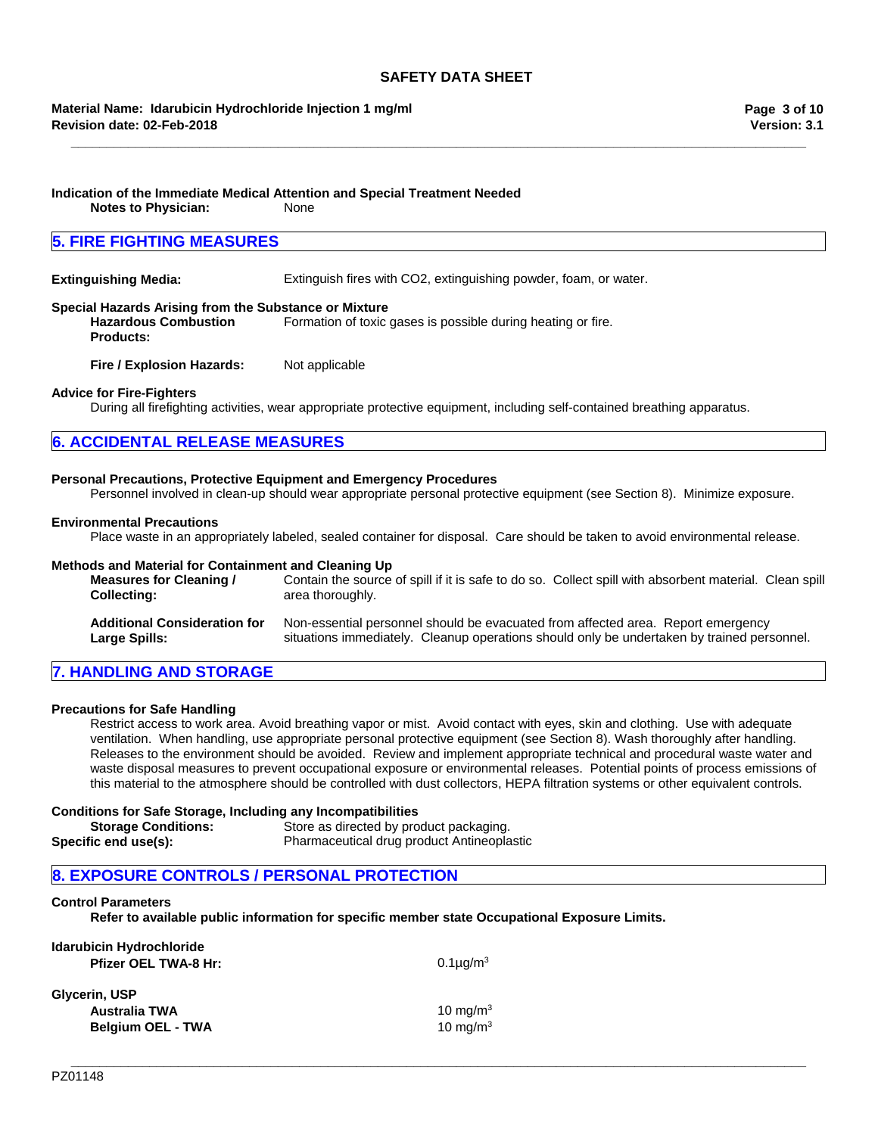**\_\_\_\_\_\_\_\_\_\_\_\_\_\_\_\_\_\_\_\_\_\_\_\_\_\_\_\_\_\_\_\_\_\_\_\_\_\_\_\_\_\_\_\_\_\_\_\_\_\_\_\_\_\_\_\_\_\_\_\_\_\_\_\_\_\_\_\_\_\_\_\_\_\_\_\_\_\_\_\_\_\_\_\_\_\_\_\_\_\_\_\_\_\_\_\_\_\_\_\_\_\_\_**

### **Material Name: Idarubicin Hydrochloride Injection 1 mg/ml Revision date: 02-Feb-2018**

## **Indication of the Immediate Medical Attention and Special Treatment Needed**

**Notes to Physician:** None

## **5. FIRE FIGHTING MEASURES**

**Extinguishing Media:** Extinguish fires with CO2, extinguishing powder, foam, or water.

### **Special Hazards Arising from the Substance or Mixture**

**Hazardous Combustion Products:** Formation of toxic gases is possible during heating or fire.

**Fire / Explosion Hazards:** Not applicable

### **Advice for Fire-Fighters**

During all firefighting activities, wear appropriate protective equipment, including self-contained breathing apparatus.

## **6. ACCIDENTAL RELEASE MEASURES**

### **Personal Precautions, Protective Equipment and Emergency Procedures**

Personnel involved in clean-up should wear appropriate personal protective equipment (see Section 8). Minimize exposure.

### **Environmental Precautions**

Place waste in an appropriately labeled, sealed container for disposal. Care should be taken to avoid environmental release.

### **Methods and Material for Containment and Cleaning Up**

| Measures for Cleaning /             | Contain the source of spill if it is safe to do so. Collect spill with absorbent material. Clean spill |
|-------------------------------------|--------------------------------------------------------------------------------------------------------|
| <b>Collecting:</b>                  | area thoroughly.                                                                                       |
| <b>Additional Consideration for</b> | Non-essential personnel should be evacuated from affected area. Report emergency                       |
| <b>Large Spills:</b>                | situations immediately. Cleanup operations should only be undertaken by trained personnel.             |

## **7. HANDLING AND STORAGE**

#### **Precautions for Safe Handling**

Restrict access to work area. Avoid breathing vapor or mist. Avoid contact with eyes, skin and clothing. Use with adequate ventilation. When handling, use appropriate personal protective equipment (see Section 8). Wash thoroughly after handling. Releases to the environment should be avoided. Review and implement appropriate technical and procedural waste water and waste disposal measures to prevent occupational exposure or environmental releases. Potential points of process emissions of this material to the atmosphere should be controlled with dust collectors, HEPA filtration systems or other equivalent controls.

#### **Conditions for Safe Storage, Including any Incompatibilities**

| <b>Storage Conditions:</b> | Store as directed by product packaging.    |
|----------------------------|--------------------------------------------|
| Specific end use(s):       | Pharmaceutical drug product Antineoplastic |

## **8. EXPOSURE CONTROLS / PERSONAL PROTECTION**

## **Control Parameters**

**Refer to available public information for specific member state Occupational Exposure Limits.**

| Idarubicin Hydrochloride<br><b>Pfizer OEL TWA-8 Hr:</b> | 0.1 $\mu$ g/m <sup>3</sup> |
|---------------------------------------------------------|----------------------------|
| Glycerin, USP                                           |                            |
| Australia TWA                                           | 10 mg/m $3$                |
| <b>Belgium OEL - TWA</b>                                | 10 mg/m $3$                |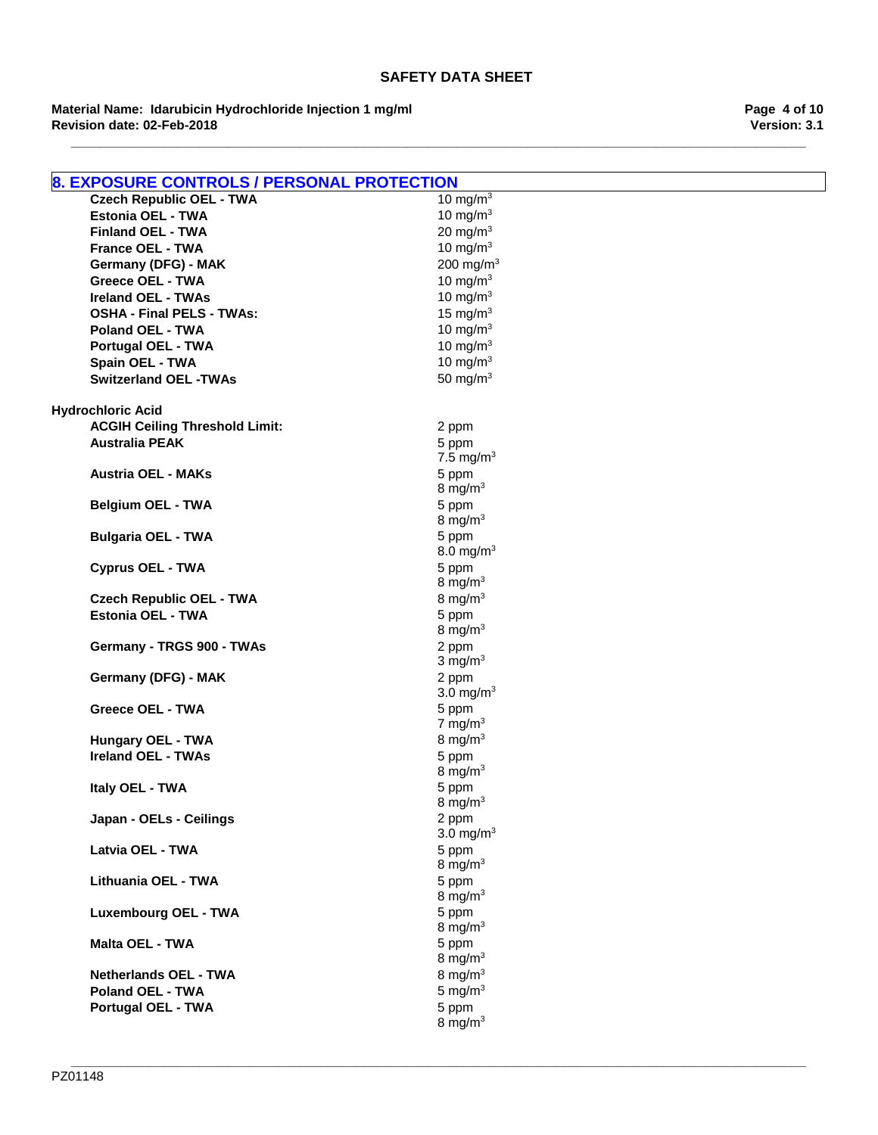**Revision date: 02-Feb-2018 Material Name: Idarubicin Hydrochloride Injection 1 mg/ml**

**Version: 3.1 Page 4 of 10**

| <b>8. EXPOSURE CONTROLS / PERSONAL PROTECTION</b> |                       |
|---------------------------------------------------|-----------------------|
| <b>Czech Republic OEL - TWA</b>                   | 10 mg/m $3$           |
| <b>Estonia OEL - TWA</b>                          | 10 mg/m $3$           |
| <b>Finland OEL - TWA</b>                          | 20 mg/m $3$           |
| <b>France OEL - TWA</b>                           | 10 mg/m $3$           |
| Germany (DFG) - MAK                               | 200 mg/m $3$          |
| <b>Greece OEL - TWA</b>                           | 10 mg/m $3$           |
| <b>Ireland OEL - TWAs</b>                         | 10 mg/m $3$           |
| <b>OSHA - Final PELS - TWAs:</b>                  | 15 mg/ $m3$           |
| <b>Poland OEL - TWA</b>                           | 10 mg/m $3$           |
| <b>Portugal OEL - TWA</b>                         | 10 mg/m $3$           |
| Spain OEL - TWA                                   | 10 mg/m $3$           |
| <b>Switzerland OEL -TWAs</b>                      | 50 mg/ $m3$           |
| <b>Hydrochloric Acid</b>                          |                       |
| <b>ACGIH Ceiling Threshold Limit:</b>             | 2 ppm                 |
| <b>Australia PEAK</b>                             | 5 ppm                 |
|                                                   | 7.5 mg/m <sup>3</sup> |
| <b>Austria OEL - MAKs</b>                         | 5 ppm                 |
|                                                   | 8 mg/m $3$            |
| <b>Belgium OEL - TWA</b>                          | 5 ppm                 |
|                                                   | 8 mg/m $3$            |
| <b>Bulgaria OEL - TWA</b>                         | 5 ppm                 |
|                                                   | 8.0 mg/m <sup>3</sup> |
| <b>Cyprus OEL - TWA</b>                           | 5 ppm                 |
|                                                   | 8 mg/m $3$            |
| <b>Czech Republic OEL - TWA</b>                   | 8 mg/m $3$            |
| <b>Estonia OEL - TWA</b>                          | 5 ppm                 |
|                                                   | 8 mg/m $3$            |
| Germany - TRGS 900 - TWAs                         | 2 ppm                 |
|                                                   | $3 \text{ mg/m}^3$    |
| Germany (DFG) - MAK                               | 2 ppm                 |
|                                                   | 3.0 mg/ $m3$          |
| <b>Greece OEL - TWA</b>                           | 5 ppm                 |
|                                                   | 7 mg/m $3$            |
| <b>Hungary OEL - TWA</b>                          | 8 mg/m $3$            |
| <b>Ireland OEL - TWAs</b>                         | 5 ppm<br>8 mg/m $3$   |
| Italy OEL - TWA                                   | 5 ppm                 |
|                                                   | 8 mg/m $3$            |
| Japan - OELs - Ceilings                           | 2 ppm                 |
|                                                   | 3.0 mg/m <sup>3</sup> |
| Latvia OEL - TWA                                  | 5 ppm                 |
|                                                   | 8 mg/ $m3$            |
| Lithuania OEL - TWA                               | 5 ppm                 |
|                                                   | 8 mg/m $3$            |
| <b>Luxembourg OEL - TWA</b>                       | 5 ppm                 |
|                                                   | 8 mg/ $m3$            |
| <b>Malta OEL - TWA</b>                            | 5 ppm                 |
|                                                   | 8 mg/m $3$            |
| <b>Netherlands OEL - TWA</b>                      | 8 mg/ $m3$            |
| <b>Poland OEL - TWA</b>                           | 5 mg/ $m3$            |
| <b>Portugal OEL - TWA</b>                         | 5 ppm                 |
|                                                   | 8 mg/m $3$            |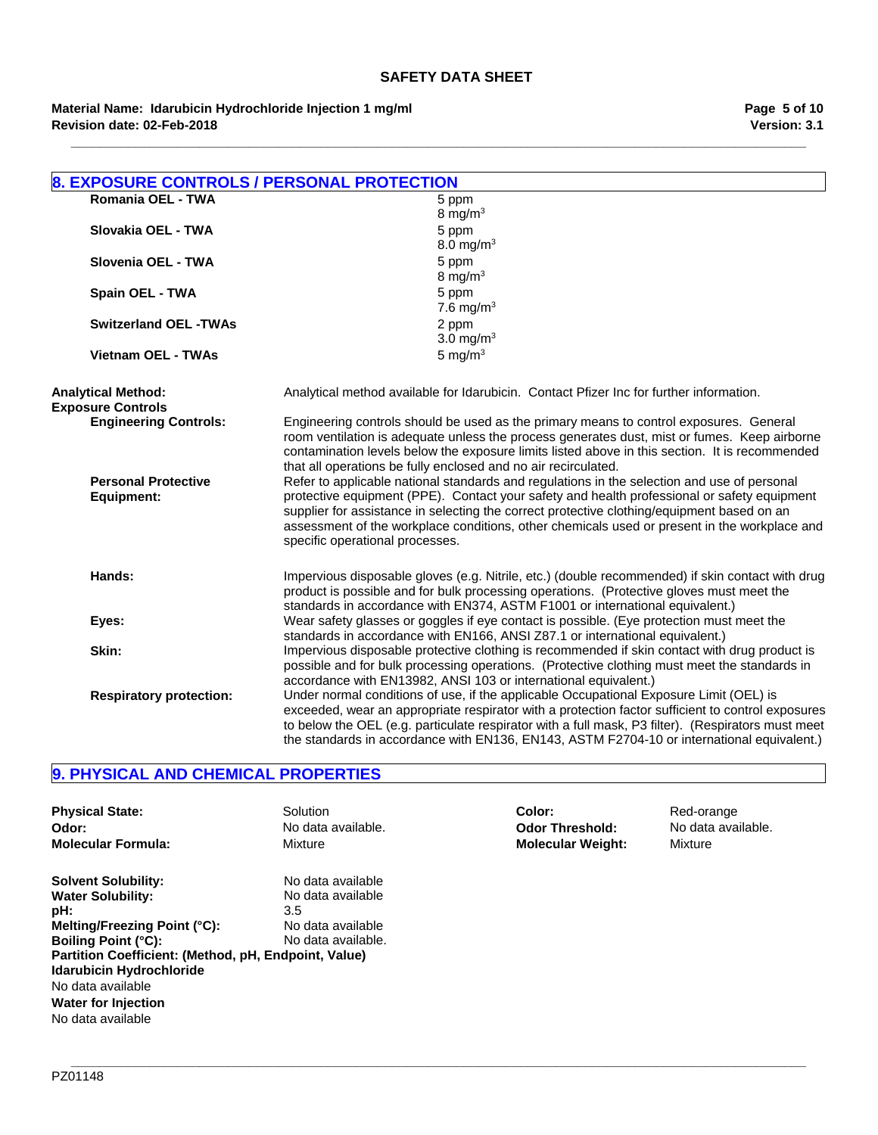**Revision date: 02-Feb-2018 Material Name: Idarubicin Hydrochloride Injection 1 mg/ml**

| <b>8. EXPOSURE CONTROLS / PERSONAL PROTECTION</b>     |                                                                                                                                                                                                                                                                                                                                                                                                                             |
|-------------------------------------------------------|-----------------------------------------------------------------------------------------------------------------------------------------------------------------------------------------------------------------------------------------------------------------------------------------------------------------------------------------------------------------------------------------------------------------------------|
| Romania OEL - TWA                                     | 5 ppm                                                                                                                                                                                                                                                                                                                                                                                                                       |
|                                                       | 8 mg/ $m3$                                                                                                                                                                                                                                                                                                                                                                                                                  |
| Slovakia OEL - TWA                                    | 5 ppm                                                                                                                                                                                                                                                                                                                                                                                                                       |
|                                                       | 8.0 mg/m <sup>3</sup>                                                                                                                                                                                                                                                                                                                                                                                                       |
| Slovenia OEL - TWA                                    | 5 ppm                                                                                                                                                                                                                                                                                                                                                                                                                       |
|                                                       | 8 mg/m $3$                                                                                                                                                                                                                                                                                                                                                                                                                  |
| Spain OEL - TWA                                       | 5 ppm                                                                                                                                                                                                                                                                                                                                                                                                                       |
|                                                       | 7.6 mg/m <sup>3</sup>                                                                                                                                                                                                                                                                                                                                                                                                       |
| <b>Switzerland OEL -TWAs</b>                          | 2 ppm                                                                                                                                                                                                                                                                                                                                                                                                                       |
|                                                       | 3.0 mg/ $m3$                                                                                                                                                                                                                                                                                                                                                                                                                |
| <b>Vietnam OEL - TWAs</b>                             | 5 mg/ $m3$                                                                                                                                                                                                                                                                                                                                                                                                                  |
| <b>Analytical Method:</b><br><b>Exposure Controls</b> | Analytical method available for Idarubicin. Contact Pfizer Inc for further information.                                                                                                                                                                                                                                                                                                                                     |
| <b>Engineering Controls:</b>                          | Engineering controls should be used as the primary means to control exposures. General<br>room ventilation is adequate unless the process generates dust, mist or fumes. Keep airborne<br>contamination levels below the exposure limits listed above in this section. It is recommended<br>that all operations be fully enclosed and no air recirculated.                                                                  |
| <b>Personal Protective</b><br><b>Equipment:</b>       | Refer to applicable national standards and regulations in the selection and use of personal<br>protective equipment (PPE). Contact your safety and health professional or safety equipment<br>supplier for assistance in selecting the correct protective clothing/equipment based on an<br>assessment of the workplace conditions, other chemicals used or present in the workplace and<br>specific operational processes. |
| Hands:                                                | Impervious disposable gloves (e.g. Nitrile, etc.) (double recommended) if skin contact with drug<br>product is possible and for bulk processing operations. (Protective gloves must meet the<br>standards in accordance with EN374, ASTM F1001 or international equivalent.)                                                                                                                                                |
| Eyes:                                                 | Wear safety glasses or goggles if eye contact is possible. (Eye protection must meet the<br>standards in accordance with EN166, ANSI Z87.1 or international equivalent.)                                                                                                                                                                                                                                                    |
| Skin:                                                 | Impervious disposable protective clothing is recommended if skin contact with drug product is<br>possible and for bulk processing operations. (Protective clothing must meet the standards in<br>accordance with EN13982, ANSI 103 or international equivalent.)                                                                                                                                                            |
| <b>Respiratory protection:</b>                        | Under normal conditions of use, if the applicable Occupational Exposure Limit (OEL) is<br>exceeded, wear an appropriate respirator with a protection factor sufficient to control exposures<br>to below the OEL (e.g. particulate respirator with a full mask, P3 filter). (Respirators must meet<br>the standards in accordance with EN136, EN143, ASTM F2704-10 or international equivalent.)                             |

## **9. PHYSICAL AND CHEMICAL PROPERTIES**

| <b>Physical State:</b>                                                                                                                                                                                                                                                                  | <b>Solution</b>                                                                          | Color:                   | Red-orange         |
|-----------------------------------------------------------------------------------------------------------------------------------------------------------------------------------------------------------------------------------------------------------------------------------------|------------------------------------------------------------------------------------------|--------------------------|--------------------|
| Odor:                                                                                                                                                                                                                                                                                   | No data available.                                                                       | <b>Odor Threshold:</b>   | No data available. |
| <b>Molecular Formula:</b>                                                                                                                                                                                                                                                               | Mixture                                                                                  | <b>Molecular Weight:</b> | Mixture            |
| <b>Solvent Solubility:</b><br><b>Water Solubility:</b><br>pH:<br>Melting/Freezing Point (°C):<br><b>Boiling Point (°C):</b><br>Partition Coefficient: (Method, pH, Endpoint, Value)<br>Idarubicin Hydrochloride<br>No data available<br><b>Water for Injection</b><br>No data available | No data available<br>No data available<br>3.5<br>No data available<br>No data available. |                          |                    |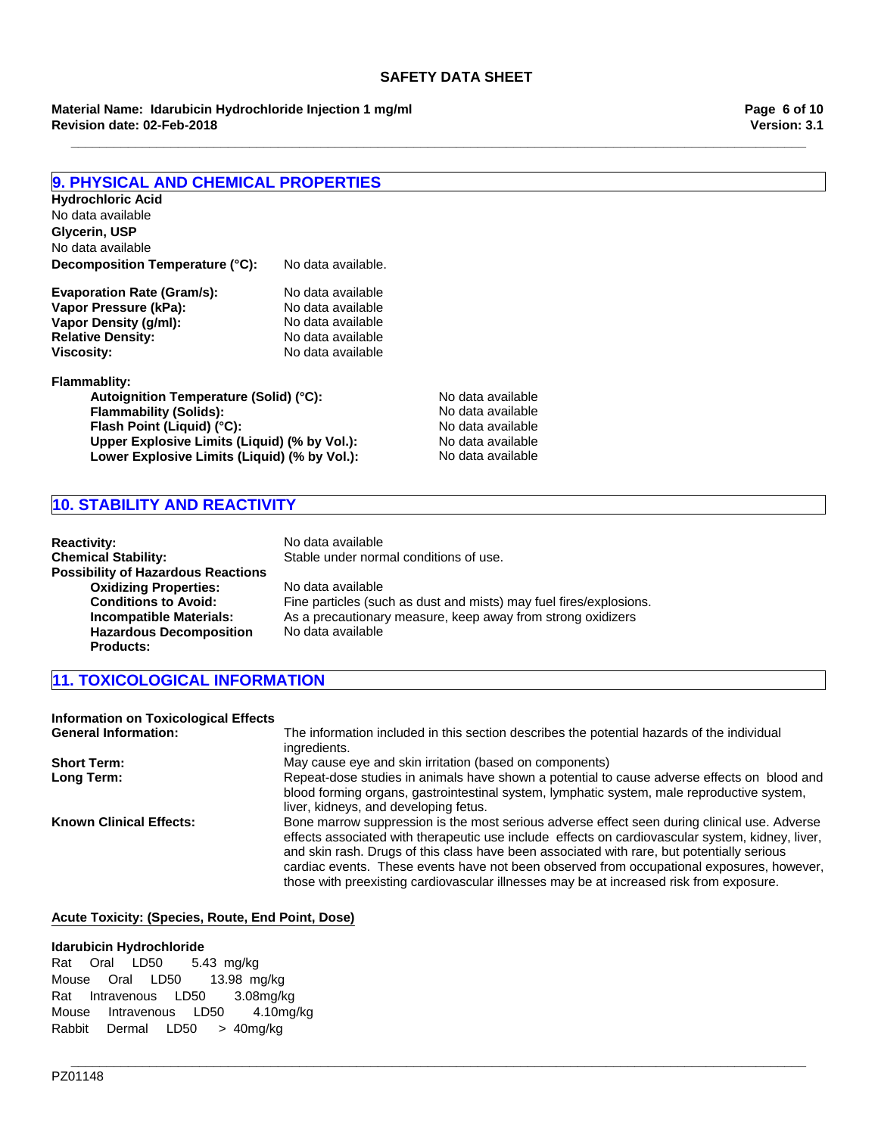**Material Name: Idarubicin Hydrochloride Injection 1 mg/ml Revision date: 02-Feb-2018**

## **9. PHYSICAL AND CHEMICAL PROPERTIES**

| Hydrochloric Acid                                                                                           |                    |                   |  |
|-------------------------------------------------------------------------------------------------------------|--------------------|-------------------|--|
| No data available                                                                                           |                    |                   |  |
| Glycerin, USP                                                                                               |                    |                   |  |
| No data available                                                                                           |                    |                   |  |
| Decomposition Temperature (°C):                                                                             | No data available. |                   |  |
| <b>Evaporation Rate (Gram/s):</b>                                                                           | No data available  |                   |  |
| Vapor Pressure (kPa):                                                                                       | No data available  |                   |  |
| Vapor Density (q/ml):                                                                                       | No data available  |                   |  |
| <b>Relative Density:</b>                                                                                    | No data available  |                   |  |
| Viscositv:                                                                                                  | No data available  |                   |  |
| Flammablity:                                                                                                |                    |                   |  |
| Autoignition Temperature (Solid) (°C):                                                                      |                    | No data available |  |
| <b>Flammability (Solids):</b><br>Flash Point (Liquid) (°C):<br>Upper Explosive Limits (Liquid) (% by Vol.): |                    | No data available |  |
|                                                                                                             |                    | No data available |  |
|                                                                                                             |                    | No data available |  |
| Lower Explosive Limits (Liquid) (% by Vol.):                                                                | No data available  |                   |  |

Lower Explosive Limits (Liquid) (% by Vol.):

## **10. STABILITY AND REACTIVITY**

| <b>Reactivity:</b>                        | No data available                                                  |
|-------------------------------------------|--------------------------------------------------------------------|
| <b>Chemical Stability:</b>                | Stable under normal conditions of use.                             |
| <b>Possibility of Hazardous Reactions</b> |                                                                    |
| <b>Oxidizing Properties:</b>              | No data available                                                  |
| <b>Conditions to Avoid:</b>               | Fine particles (such as dust and mists) may fuel fires/explosions. |
| <b>Incompatible Materials:</b>            | As a precautionary measure, keep away from strong oxidizers        |
| <b>Hazardous Decomposition</b>            | No data available                                                  |
| <b>Products:</b>                          |                                                                    |

## **11. TOXICOLOGICAL INFORMATION**

| <b>Information on Toxicological Effects</b> |                                                                                                                                                                                                                                                                                                                                                                                                                                                                                        |
|---------------------------------------------|----------------------------------------------------------------------------------------------------------------------------------------------------------------------------------------------------------------------------------------------------------------------------------------------------------------------------------------------------------------------------------------------------------------------------------------------------------------------------------------|
| <b>General Information:</b>                 | The information included in this section describes the potential hazards of the individual<br>ingredients.                                                                                                                                                                                                                                                                                                                                                                             |
| <b>Short Term:</b>                          | May cause eye and skin irritation (based on components)                                                                                                                                                                                                                                                                                                                                                                                                                                |
| Long Term:                                  | Repeat-dose studies in animals have shown a potential to cause adverse effects on blood and<br>blood forming organs, gastrointestinal system, lymphatic system, male reproductive system,<br>liver, kidneys, and developing fetus.                                                                                                                                                                                                                                                     |
| <b>Known Clinical Effects:</b>              | Bone marrow suppression is the most serious adverse effect seen during clinical use. Adverse<br>effects associated with therapeutic use include effects on cardiovascular system, kidney, liver,<br>and skin rash. Drugs of this class have been associated with rare, but potentially serious<br>cardiac events. These events have not been observed from occupational exposures, however,<br>those with preexisting cardiovascular illnesses may be at increased risk from exposure. |

## **Acute Toxicity: (Species, Route, End Point, Dose)**

### **Idarubicin Hydrochloride**

RatOralLD50 5.43mg/kg MouseOralLD50 13.98 mg/kg RatIntravenousLD50 3.08mg/kg MouseIntravenousLD50 4.10mg/kg RabbitDermalLD50 >40mg/kg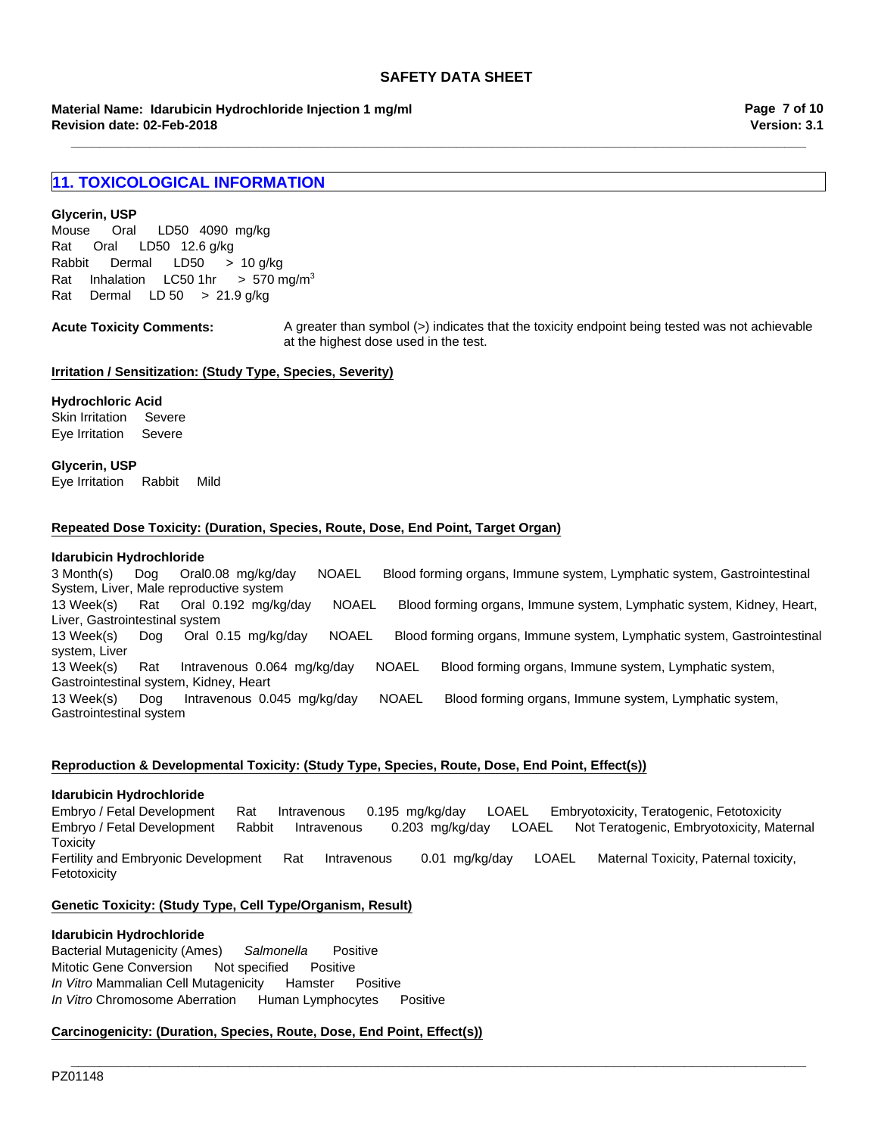**\_\_\_\_\_\_\_\_\_\_\_\_\_\_\_\_\_\_\_\_\_\_\_\_\_\_\_\_\_\_\_\_\_\_\_\_\_\_\_\_\_\_\_\_\_\_\_\_\_\_\_\_\_\_\_\_\_\_\_\_\_\_\_\_\_\_\_\_\_\_\_\_\_\_\_\_\_\_\_\_\_\_\_\_\_\_\_\_\_\_\_\_\_\_\_\_\_\_\_\_\_\_\_**

**Revision date: 02-Feb-2018 Material Name: Idarubicin Hydrochloride Injection 1 mg/ml**

**Version: 3.1 Page 7 of 10**

## **11. TOXICOLOGICAL INFORMATION**

### **Glycerin, USP**

Rat Oral LD50 12.6 g/kg Rabbit Dermal LD50 >10 g/kg RatInhalationLC50 1hr >570 mg/m3 RatDermalLD 50>21.9 g/kg Mouse Oral LD50 4090mg/kg

Acute Toxicity Comments: A greater than symbol (>) indicates that the toxicity endpoint being tested was not achievable at the highest dose used in the test.

#### **Irritation / Sensitization: (Study Type, Species, Severity)**

### **Hydrochloric Acid**

Skin IrritationSevere Eye IrritationSevere

**Glycerin, USP** Eye IrritationRabbitMild

### **Repeated Dose Toxicity: (Duration, Species, Route, Dose, End Point, Target Organ)**

#### **Idarubicin Hydrochloride**

13 Week(s)RatIntravenous0.064mg/kg/dayNOAELBlood forming organs, Immune system, Lymphatic system, Gastrointestinal system, Kidney, Heart 13 Week(s)DogIntravenous0.045mg/kg/dayNOAELBlood forming organs, Immune system, Lymphatic system, Gastrointestinal system 3 Month(s)DogOral0.08mg/kg/dayNOAELBlood forming organs, Immune system, Lymphatic system, Gastrointestinal System, Liver, Male reproductive system 13 Week(s)RatOral0.192mg/kg/dayNOAELBlood forming organs, Immune system, Lymphatic system, Kidney, Heart, Liver, Gastrointestinal system 13 Week(s)DogOral0.15mg/kg/dayNOAELBlood forming organs, Immune system, Lymphatic system, Gastrointestinal system, Liver

### **Reproduction & Developmental Toxicity: (Study Type, Species, Route, Dose, End Point, Effect(s))**

### **Idarubicin Hydrochloride**

Embryo / Fetal DevelopmentRatIntravenous0.195mg/kg/dayLOAELEmbryotoxicity, Teratogenic, Fetotoxicity Embryo / Fetal DevelopmentRabbitIntravenous0.203mg/kg/dayLOAELNot Teratogenic, Embryotoxicity, Maternal **Toxicity** Fertility and Embryonic DevelopmentRatIntravenous0.01mg/kg/dayLOAELMaternal Toxicity, Paternal toxicity, Fetotoxicity

**\_\_\_\_\_\_\_\_\_\_\_\_\_\_\_\_\_\_\_\_\_\_\_\_\_\_\_\_\_\_\_\_\_\_\_\_\_\_\_\_\_\_\_\_\_\_\_\_\_\_\_\_\_\_\_\_\_\_\_\_\_\_\_\_\_\_\_\_\_\_\_\_\_\_\_\_\_\_\_\_\_\_\_\_\_\_\_\_\_\_\_\_\_\_\_\_\_\_\_\_\_\_\_**

## **Genetic Toxicity: (Study Type, Cell Type/Organism, Result)**

#### **Idarubicin Hydrochloride**

Bacterial Mutagenicity (Ames)*Salmonella* Positive Mitotic Gene ConversionNot specifiedPositive *In Vitro* Mammalian Cell MutagenicityHamsterPositive *In Vitro* Chromosome AberrationHuman LymphocytesPositive

### **Carcinogenicity: (Duration, Species, Route, Dose, End Point, Effect(s))**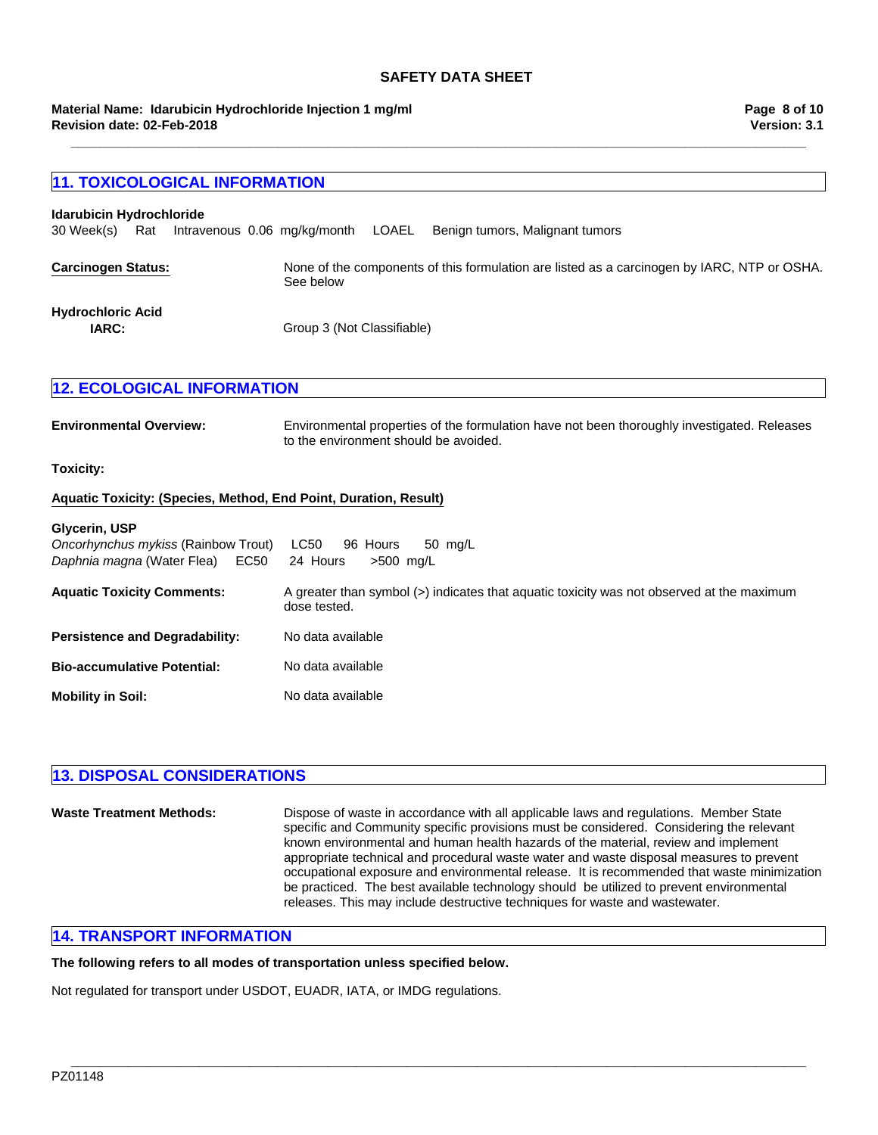**\_\_\_\_\_\_\_\_\_\_\_\_\_\_\_\_\_\_\_\_\_\_\_\_\_\_\_\_\_\_\_\_\_\_\_\_\_\_\_\_\_\_\_\_\_\_\_\_\_\_\_\_\_\_\_\_\_\_\_\_\_\_\_\_\_\_\_\_\_\_\_\_\_\_\_\_\_\_\_\_\_\_\_\_\_\_\_\_\_\_\_\_\_\_\_\_\_\_\_\_\_\_\_**

### **Revision date: 02-Feb-2018 Material Name: Idarubicin Hydrochloride Injection 1 mg/ml**

# **11. TOXICOLOGICAL INFORMATION Carcinogen Status:** None of the components of this formulation are listed as a carcinogen by IARC, NTP or OSHA. See below **12. ECOLOGICAL INFORMATION Environmental Overview:** Environmental properties of the formulation have not been thoroughly investigated. Releases to the environment should be avoided. **Toxicity: Aquatic Toxicity: (Species, Method, End Point, Duration, Result) IARC:** Group 3 (Not Classifiable) **Glycerin, USP** 30 Week(s)RatIntravenous0.06mg/kg/monthLOAELBenign tumors, Malignant tumors *Oncorhynchus mykiss* (Rainbow Trout)LC50 96Hours50mg/L *Daphnia magna* (Water Flea)EC50 24Hours>500mg/L **Idarubicin Hydrochloride Hydrochloric Acid**

| <b>Aquatic Toxicity Comments:</b>     | A greater than symbol $(>)$ indicates that aguatic toxicity was not observed at the maximum<br>dose tested. |
|---------------------------------------|-------------------------------------------------------------------------------------------------------------|
| <b>Persistence and Degradability:</b> | No data available                                                                                           |
| <b>Bio-accumulative Potential:</b>    | No data available                                                                                           |
| <b>Mobility in Soil:</b>              | No data available                                                                                           |

## **13. DISPOSAL CONSIDERATIONS**

| <b>Waste Treatment Methods:</b> | Dispose of waste in accordance with all applicable laws and regulations. Member State<br>specific and Community specific provisions must be considered. Considering the relevant<br>known environmental and human health hazards of the material, review and implement<br>appropriate technical and procedural waste water and waste disposal measures to prevent<br>occupational exposure and environmental release. It is recommended that waste minimization<br>be practiced. The best available technology should be utilized to prevent environmental<br>releases. This may include destructive techniques for waste and wastewater. |
|---------------------------------|-------------------------------------------------------------------------------------------------------------------------------------------------------------------------------------------------------------------------------------------------------------------------------------------------------------------------------------------------------------------------------------------------------------------------------------------------------------------------------------------------------------------------------------------------------------------------------------------------------------------------------------------|
|---------------------------------|-------------------------------------------------------------------------------------------------------------------------------------------------------------------------------------------------------------------------------------------------------------------------------------------------------------------------------------------------------------------------------------------------------------------------------------------------------------------------------------------------------------------------------------------------------------------------------------------------------------------------------------------|

**\_\_\_\_\_\_\_\_\_\_\_\_\_\_\_\_\_\_\_\_\_\_\_\_\_\_\_\_\_\_\_\_\_\_\_\_\_\_\_\_\_\_\_\_\_\_\_\_\_\_\_\_\_\_\_\_\_\_\_\_\_\_\_\_\_\_\_\_\_\_\_\_\_\_\_\_\_\_\_\_\_\_\_\_\_\_\_\_\_\_\_\_\_\_\_\_\_\_\_\_\_\_\_**

## **14. TRANSPORT INFORMATION**

### **The following refers to all modes of transportation unless specified below.**

Not regulated for transport under USDOT, EUADR, IATA, or IMDG regulations.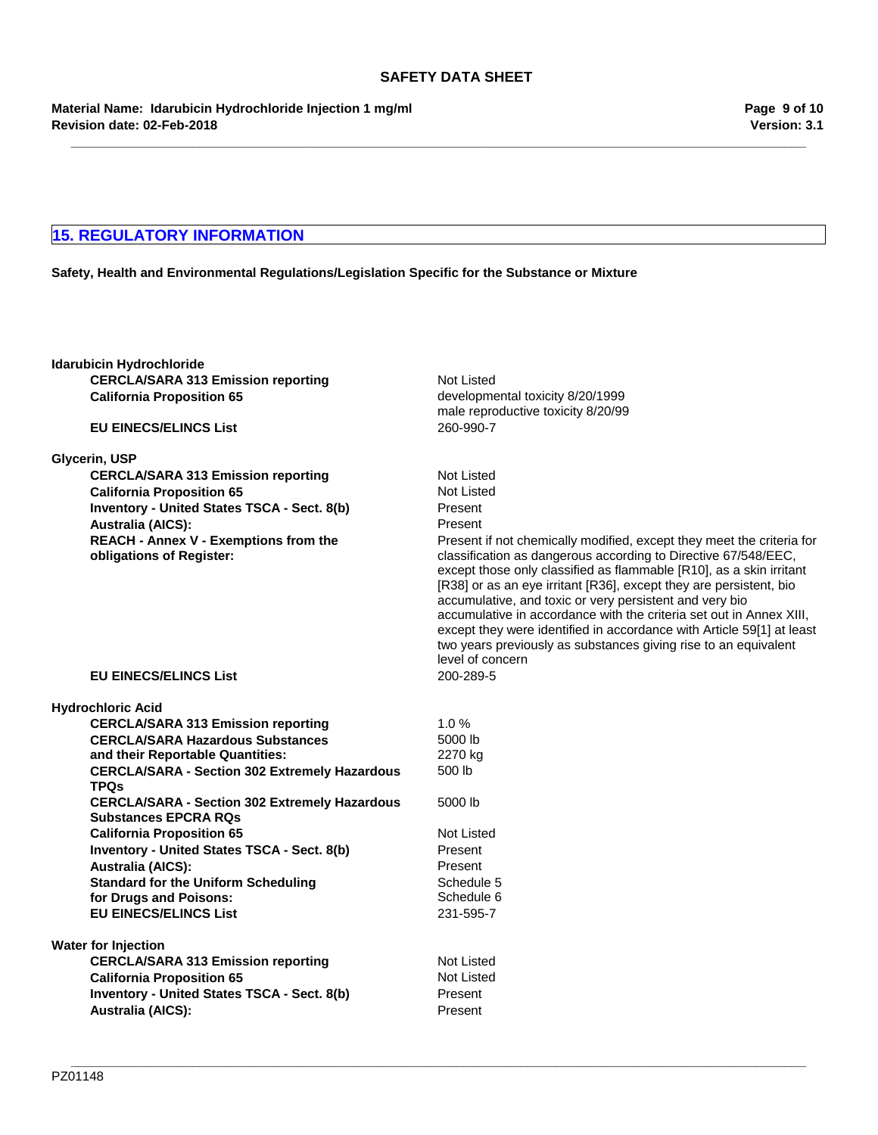**Revision date: 02-Feb-2018 Material Name: Idarubicin Hydrochloride Injection 1 mg/ml**

## **15. REGULATORY INFORMATION**

## **Safety, Health and Environmental Regulations/Legislation Specific for the Substance or Mixture**

| Idarubicin Hydrochloride         |                                                      |                                                                                                                                                                                                                                                                                                                                                                                                                                                                                                               |
|----------------------------------|------------------------------------------------------|---------------------------------------------------------------------------------------------------------------------------------------------------------------------------------------------------------------------------------------------------------------------------------------------------------------------------------------------------------------------------------------------------------------------------------------------------------------------------------------------------------------|
|                                  | <b>CERCLA/SARA 313 Emission reporting</b>            | Not Listed                                                                                                                                                                                                                                                                                                                                                                                                                                                                                                    |
| <b>California Proposition 65</b> |                                                      | developmental toxicity 8/20/1999                                                                                                                                                                                                                                                                                                                                                                                                                                                                              |
|                                  |                                                      | male reproductive toxicity 8/20/99                                                                                                                                                                                                                                                                                                                                                                                                                                                                            |
| <b>EU EINECS/ELINCS List</b>     |                                                      | 260-990-7                                                                                                                                                                                                                                                                                                                                                                                                                                                                                                     |
| Glycerin, USP                    |                                                      |                                                                                                                                                                                                                                                                                                                                                                                                                                                                                                               |
|                                  | <b>CERCLA/SARA 313 Emission reporting</b>            | <b>Not Listed</b>                                                                                                                                                                                                                                                                                                                                                                                                                                                                                             |
| <b>California Proposition 65</b> |                                                      | Not Listed                                                                                                                                                                                                                                                                                                                                                                                                                                                                                                    |
|                                  | Inventory - United States TSCA - Sect. 8(b)          | Present                                                                                                                                                                                                                                                                                                                                                                                                                                                                                                       |
| <b>Australia (AICS):</b>         |                                                      | Present                                                                                                                                                                                                                                                                                                                                                                                                                                                                                                       |
|                                  | <b>REACH - Annex V - Exemptions from the</b>         | Present if not chemically modified, except they meet the criteria for                                                                                                                                                                                                                                                                                                                                                                                                                                         |
| obligations of Register:         |                                                      | classification as dangerous according to Directive 67/548/EEC,<br>except those only classified as flammable [R10], as a skin irritant<br>[R38] or as an eye irritant [R36], except they are persistent, bio<br>accumulative, and toxic or very persistent and very bio<br>accumulative in accordance with the criteria set out in Annex XIII,<br>except they were identified in accordance with Article 59[1] at least<br>two years previously as substances giving rise to an equivalent<br>level of concern |
| <b>EU EINECS/ELINCS List</b>     |                                                      | 200-289-5                                                                                                                                                                                                                                                                                                                                                                                                                                                                                                     |
| Hydrochloric Acid                |                                                      |                                                                                                                                                                                                                                                                                                                                                                                                                                                                                                               |
|                                  | <b>CERCLA/SARA 313 Emission reporting</b>            | 1.0%                                                                                                                                                                                                                                                                                                                                                                                                                                                                                                          |
|                                  | <b>CERCLA/SARA Hazardous Substances</b>              | 5000 lb                                                                                                                                                                                                                                                                                                                                                                                                                                                                                                       |
|                                  | and their Reportable Quantities:                     | 2270 kg                                                                                                                                                                                                                                                                                                                                                                                                                                                                                                       |
| <b>TPQs</b>                      | <b>CERCLA/SARA - Section 302 Extremely Hazardous</b> | 500 lb                                                                                                                                                                                                                                                                                                                                                                                                                                                                                                        |
| <b>Substances EPCRA RQs</b>      | <b>CERCLA/SARA - Section 302 Extremely Hazardous</b> | 5000 lb                                                                                                                                                                                                                                                                                                                                                                                                                                                                                                       |
| <b>California Proposition 65</b> |                                                      | Not Listed                                                                                                                                                                                                                                                                                                                                                                                                                                                                                                    |
|                                  | Inventory - United States TSCA - Sect. 8(b)          | Present                                                                                                                                                                                                                                                                                                                                                                                                                                                                                                       |
| <b>Australia (AICS):</b>         |                                                      | Present                                                                                                                                                                                                                                                                                                                                                                                                                                                                                                       |
|                                  | <b>Standard for the Uniform Scheduling</b>           | Schedule 5                                                                                                                                                                                                                                                                                                                                                                                                                                                                                                    |
| for Drugs and Poisons:           |                                                      | Schedule 6                                                                                                                                                                                                                                                                                                                                                                                                                                                                                                    |
| <b>EU EINECS/ELINCS List</b>     |                                                      | 231-595-7                                                                                                                                                                                                                                                                                                                                                                                                                                                                                                     |
| <b>Water for Injection</b>       |                                                      |                                                                                                                                                                                                                                                                                                                                                                                                                                                                                                               |
|                                  | <b>CERCLA/SARA 313 Emission reporting</b>            | Not Listed                                                                                                                                                                                                                                                                                                                                                                                                                                                                                                    |
| <b>California Proposition 65</b> |                                                      | Not Listed                                                                                                                                                                                                                                                                                                                                                                                                                                                                                                    |
|                                  | Inventory - United States TSCA - Sect. 8(b)          | Present                                                                                                                                                                                                                                                                                                                                                                                                                                                                                                       |
| <b>Australia (AICS):</b>         |                                                      | Present                                                                                                                                                                                                                                                                                                                                                                                                                                                                                                       |